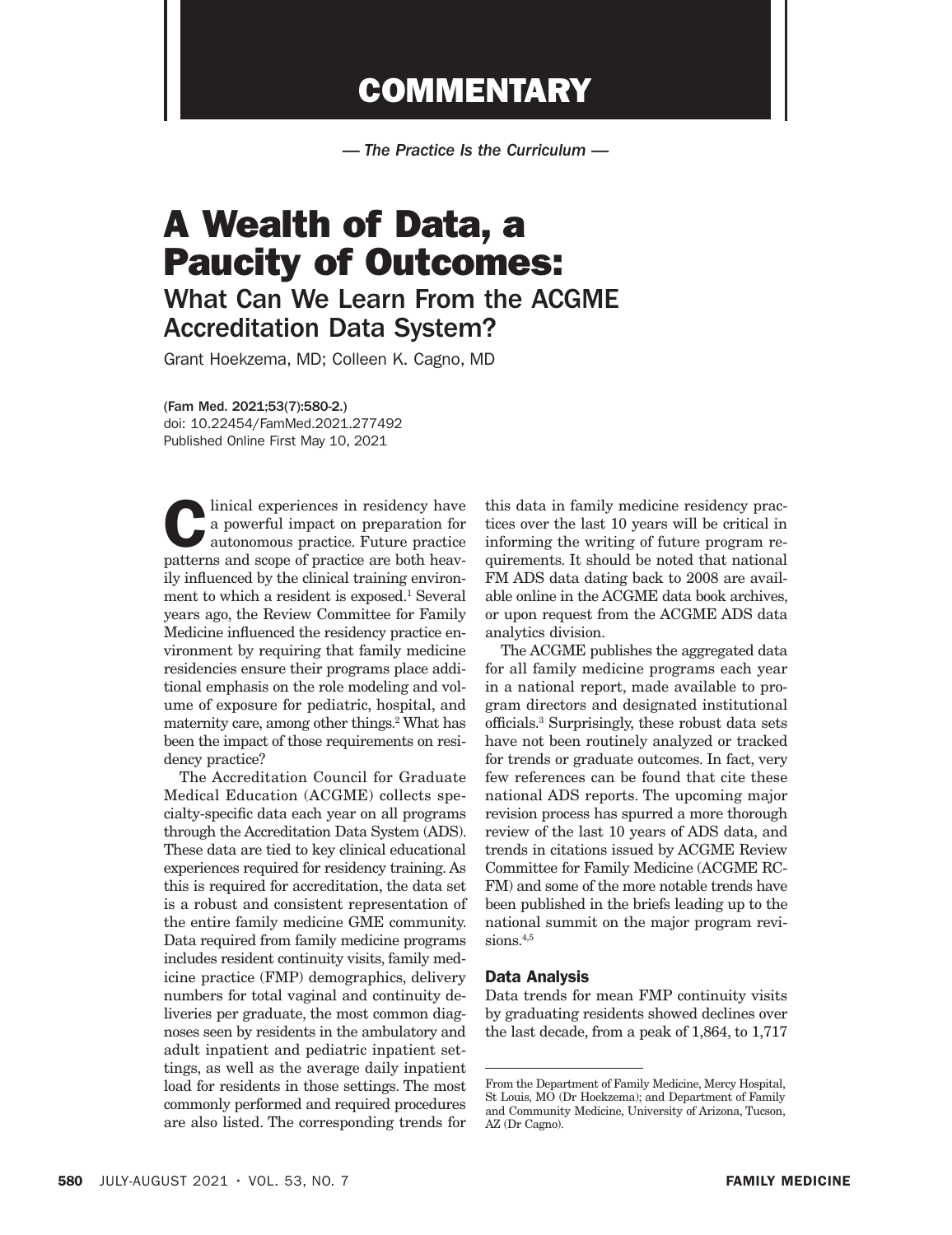## **COMMENTARY**

*— The Practice Is the Curriculum —*

# A Wealth of Data, a Paucity of Outcomes:

What Can We Learn From the ACGME Accreditation Data System?

Grant Hoekzema, MD; Colleen K. Cagno, MD

(Fam Med. 2021;53(7):580-2.)

doi: 10.22454/FamMed.2021.277492 Published Online First May 10, 2021

a powerful impact on preparation for<br>
autonomous practice. Future practice<br>
patterns and scope of practice are both heavy a powerful impact on preparation for patterns and scope of practice are both heavily influenced by the clinical training environment to which a resident is exposed.<sup>1</sup> Several years ago, the Review Committee for Family Medicine influenced the residency practice environment by requiring that family medicine residencies ensure their programs place additional emphasis on the role modeling and volume of exposure for pediatric, hospital, and maternity care, among other things.<sup>2</sup> What has been the impact of those requirements on residency practice?

The Accreditation Council for Graduate Medical Education (ACGME) collects specialty-specific data each year on all programs through the Accreditation Data System (ADS). These data are tied to key clinical educational experiences required for residency training. As this is required for accreditation, the data set is a robust and consistent representation of the entire family medicine GME community. Data required from family medicine programs includes resident continuity visits, family medicine practice (FMP) demographics, delivery numbers for total vaginal and continuity deliveries per graduate, the most common diagnoses seen by residents in the ambulatory and adult inpatient and pediatric inpatient settings, as well as the average daily inpatient load for residents in those settings. The most commonly performed and required procedures are also listed. The corresponding trends for

this data in family medicine residency practices over the last 10 years will be critical in informing the writing of future program requirements. It should be noted that national FM ADS data dating back to 2008 are available online in the ACGME data book archives, or upon request from the ACGME ADS data analytics division.

The ACGME publishes the aggregated data for all family medicine programs each year in a national report, made available to program directors and designated institutional officials.3 Surprisingly, these robust data sets have not been routinely analyzed or tracked for trends or graduate outcomes. In fact, very few references can be found that cite these national ADS reports. The upcoming major revision process has spurred a more thorough review of the last 10 years of ADS data, and trends in citations issued by ACGME Review Committee for Family Medicine (ACGME RC-FM) and some of the more notable trends have been published in the briefs leading up to the national summit on the major program revisions.<sup>4,5</sup>

#### Data Analysis

Data trends for mean FMP continuity visits by graduating residents showed declines over the last decade, from a peak of 1,864, to 1,717

From the Department of Family Medicine, Mercy Hospital, St Louis, MO (Dr Hoekzema); and Department of Family and Community Medicine, University of Arizona, Tucson, AZ (Dr Cagno).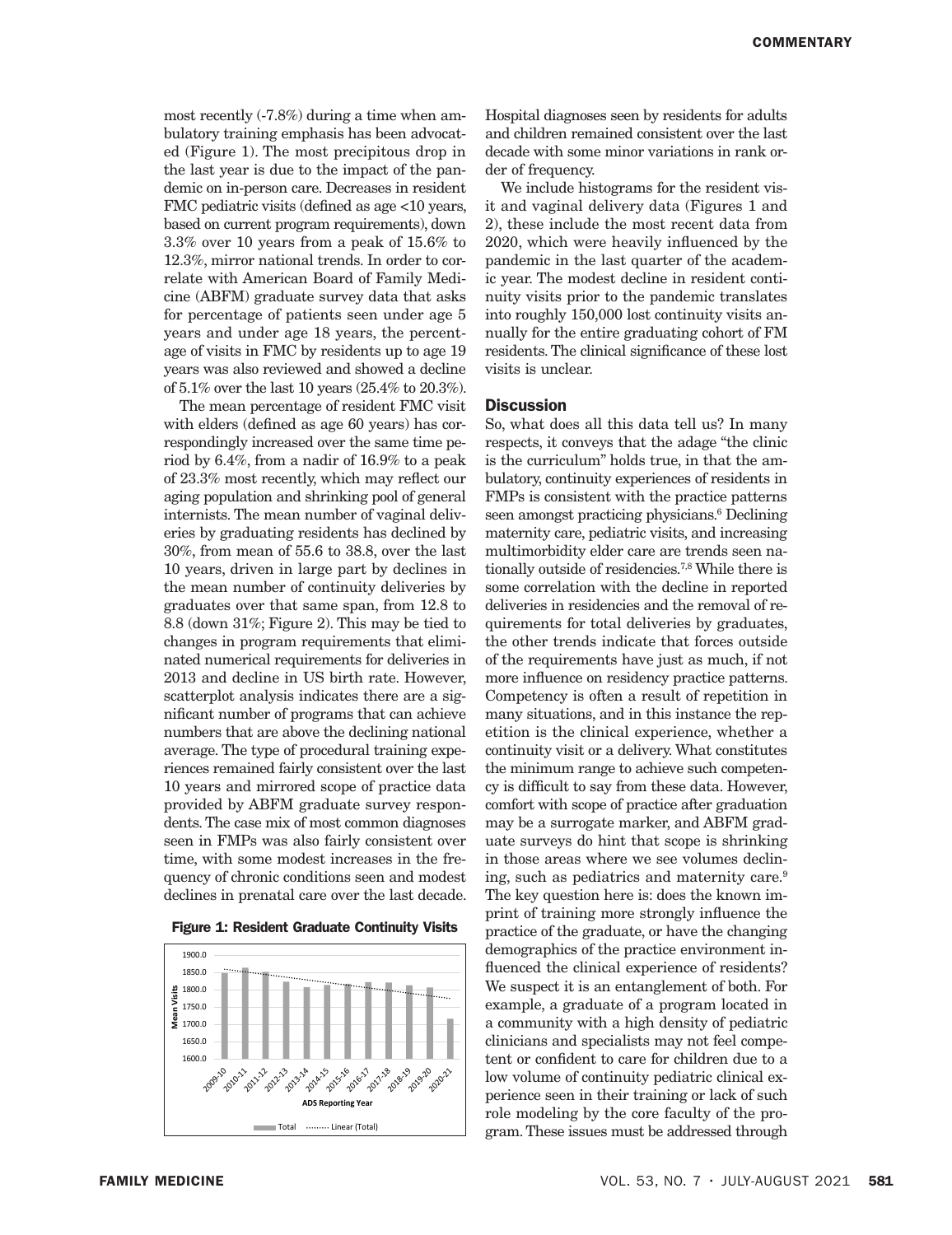most recently (-7.8%) during a time when ambulatory training emphasis has been advocated (Figure 1). The most precipitous drop in the last year is due to the impact of the pandemic on in-person care. Decreases in resident FMC pediatric visits (defined as age <10 years, based on current program requirements), down 3.3% over 10 years from a peak of 15.6% to 12.3%, mirror national trends. In order to correlate with American Board of Family Medicine (ABFM) graduate survey data that asks for percentage of patients seen under age 5 years and under age 18 years, the percentage of visits in FMC by residents up to age 19 years was also reviewed and showed a decline of 5.1% over the last 10 years (25.4% to 20.3%).

The mean percentage of resident FMC visit with elders (defined as age 60 years) has correspondingly increased over the same time period by 6.4%, from a nadir of 16.9% to a peak of 23.3% most recently, which may reflect our aging population and shrinking pool of general internists. The mean number of vaginal deliveries by graduating residents has declined by 30%, from mean of 55.6 to 38.8, over the last 10 years, driven in large part by declines in the mean number of continuity deliveries by graduates over that same span, from 12.8 to 8.8 (down 31%; Figure 2). This may be tied to changes in program requirements that eliminated numerical requirements for deliveries in 2013 and decline in US birth rate. However, scatterplot analysis indicates there are a significant number of programs that can achieve numbers that are above the declining national average. The type of procedural training experiences remained fairly consistent over the last 10 years and mirrored scope of practice data provided by ABFM graduate survey respondents. The case mix of most common diagnoses seen in FMPs was also fairly consistent over time, with some modest increases in the frequency of chronic conditions seen and modest declines in prenatal care over the last decade.





Hospital diagnoses seen by residents for adults and children remained consistent over the last decade with some minor variations in rank order of frequency.

We include histograms for the resident visit and vaginal delivery data (Figures 1 and 2), these include the most recent data from 2020, which were heavily influenced by the pandemic in the last quarter of the academic year. The modest decline in resident continuity visits prior to the pandemic translates into roughly 150,000 lost continuity visits annually for the entire graduating cohort of FM residents. The clinical significance of these lost visits is unclear.

### **Discussion**

So, what does all this data tell us? In many respects, it conveys that the adage "the clinic is the curriculum" holds true, in that the ambulatory, continuity experiences of residents in FMPs is consistent with the practice patterns seen amongst practicing physicians.<sup>6</sup> Declining maternity care, pediatric visits, and increasing multimorbidity elder care are trends seen nationally outside of residencies.7,8 While there is some correlation with the decline in reported deliveries in residencies and the removal of requirements for total deliveries by graduates, the other trends indicate that forces outside of the requirements have just as much, if not more influence on residency practice patterns. Competency is often a result of repetition in many situations, and in this instance the repetition is the clinical experience, whether a continuity visit or a delivery. What constitutes the minimum range to achieve such competency is difficult to say from these data. However, comfort with scope of practice after graduation may be a surrogate marker, and ABFM graduate surveys do hint that scope is shrinking in those areas where we see volumes declining, such as pediatrics and maternity care.9 The key question here is: does the known imprint of training more strongly influence the practice of the graduate, or have the changing demographics of the practice environment influenced the clinical experience of residents? We suspect it is an entanglement of both. For example, a graduate of a program located in a community with a high density of pediatric clinicians and specialists may not feel competent or confident to care for children due to a low volume of continuity pediatric clinical experience seen in their training or lack of such role modeling by the core faculty of the program. These issues must be addressed through